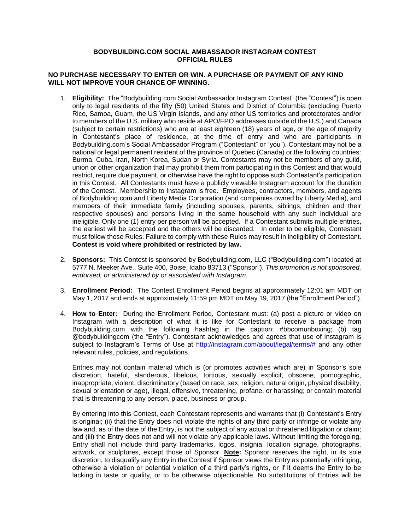## **BODYBUILDING.COM SOCIAL AMBASSADOR INSTAGRAM CONTEST OFFICIAL RULES**

## **NO PURCHASE NECESSARY TO ENTER OR WIN. A PURCHASE OR PAYMENT OF ANY KIND WILL NOT IMPROVE YOUR CHANCE OF WINNING.**

- 1. **Eligibility:** The "Bodybuilding.com Social Ambassador Instagram Contest" (the "Contest") is open only to legal residents of the fifty (50) United States and District of Columbia (excluding Puerto Rico, Samoa, Guam, the US Virgin Islands, and any other US territories and protectorates and/or to members of the U.S. military who reside at APO/FPO addresses outside of the U.S.) and Canada (subject to certain restrictions) who are at least eighteen (18) years of age, or the age of majority in Contestant's place of residence, at the time of entry and who are participants in Bodybuilding.com's Social Ambassador Program ("Contestant" or "you"). Contestant may not be a national or legal permanent resident of the province of Quebec (Canada) or the following countries: Burma, Cuba, Iran, North Korea, Sudan or Syria. Contestants may not be members of any guild, union or other organization that may prohibit them from participating in this Contest and that would restrict, require due payment, or otherwise have the right to oppose such Contestant's participation in this Contest. All Contestants must have a publicly viewable Instagram account for the duration of the Contest. Membership to Instagram is free. Employees, contractors, members, and agents of Bodybuilding.com and Liberty Media Corporation (and companies owned by Liberty Media), and members of their immediate family (including spouses, parents, siblings, children and their respective spouses) and persons living in the same household with any such individual are ineligible. Only one (1) entry per person will be accepted. If a Contestant submits multiple entries, the earliest will be accepted and the others will be discarded. In order to be eligible, Contestant must follow these Rules. Failure to comply with these Rules may result in ineligibility of Contestant. **Contest is void where prohibited or restricted by law.**
- 2. **Sponsors:** This Contest is sponsored by Bodybuilding.com, LLC ("Bodybuilding.com") located at 5777 N. Meeker Ave., Suite 400, Boise, Idaho 83713 ("Sponsor"). *This promotion is not sponsored, endorsed, or administered by or associated with Instagram.*
- 3. **Enrollment Period:** The Contest Enrollment Period begins at approximately 12:01 am MDT on May 1, 2017 and ends at approximately 11:59 pm MDT on May 19, 2017 (the "Enrollment Period").
- 4. **How to Enter:** During the Enrollment Period, Contestant must: (a) post a picture or video on Instagram with a description of what it is like for Contestant to receive a package from Bodybuilding.com with the following hashtag in the caption: #bbcomunboxing; (b) tag @bodybuildingcom (the "Entry"). Contestant acknowledges and agrees that use of Instagram is subject to Instagram's Terms of Use at [http://instagram.com/about/legal/terms/#](http://instagram.com/about/legal/terms/) and any other relevant rules, policies, and regulations.

Entries may not contain material which is (or promotes activities which are) in Sponsor's sole discretion, hateful, slanderous, libelous, tortious, sexually explicit, obscene, pornographic, inappropriate, violent, discriminatory (based on race, sex, religion, natural origin, physical disability, sexual orientation or age), illegal, offensive, threatening, profane, or harassing; or contain material that is threatening to any person, place, business or group.

By entering into this Contest, each Contestant represents and warrants that (i) Contestant's Entry is original; (ii) that the Entry does not violate the rights of any third party or infringe or violate any law and, as of the date of the Entry, is not the subject of any actual or threatened litigation or claim; and (iii) the Entry does not and will not violate any applicable laws. Without limiting the foregoing, Entry shall not include third party trademarks, logos, insignia, location signage, photographs, artwork, or sculptures, except those of Sponsor. **Note:** Sponsor reserves the right, in its sole discretion, to disqualify any Entry in the Contest if Sponsor views the Entry as potentially infringing, otherwise a violation or potential violation of a third party's rights, or if it deems the Entry to be lacking in taste or quality, or to be otherwise objectionable. No substitutions of Entries will be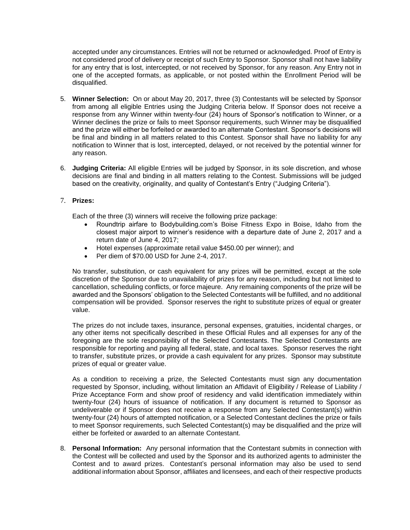accepted under any circumstances. Entries will not be returned or acknowledged. Proof of Entry is not considered proof of delivery or receipt of such Entry to Sponsor. Sponsor shall not have liability for any entry that is lost, intercepted, or not received by Sponsor, for any reason. Any Entry not in one of the accepted formats, as applicable, or not posted within the Enrollment Period will be disqualified.

- 5. **Winner Selection:** On or about May 20, 2017, three (3) Contestants will be selected by Sponsor from among all eligible Entries using the Judging Criteria below. If Sponsor does not receive a response from any Winner within twenty-four (24) hours of Sponsor's notification to Winner, or a Winner declines the prize or fails to meet Sponsor requirements, such Winner may be disqualified and the prize will either be forfeited or awarded to an alternate Contestant. Sponsor's decisions will be final and binding in all matters related to this Contest. Sponsor shall have no liability for any notification to Winner that is lost, intercepted, delayed, or not received by the potential winner for any reason.
- 6. **Judging Criteria:** All eligible Entries will be judged by Sponsor, in its sole discretion, and whose decisions are final and binding in all matters relating to the Contest. Submissions will be judged based on the creativity, originality, and quality of Contestant's Entry ("Judging Criteria").

## 7. **Prizes:**

Each of the three (3) winners will receive the following prize package:

- Roundtrip airfare to Bodybuilding.com's Boise Fitness Expo in Boise, Idaho from the closest major airport to winner's residence with a departure date of June 2, 2017 and a return date of June 4, 2017;
- Hotel expenses (approximate retail value \$450.00 per winner); and
- Per diem of \$70.00 USD for June 2-4, 2017.

No transfer, substitution, or cash equivalent for any prizes will be permitted, except at the sole discretion of the Sponsor due to unavailability of prizes for any reason, including but not limited to cancellation, scheduling conflicts, or force majeure. Any remaining components of the prize will be awarded and the Sponsors' obligation to the Selected Contestants will be fulfilled, and no additional compensation will be provided. Sponsor reserves the right to substitute prizes of equal or greater value.

The prizes do not include taxes, insurance, personal expenses, gratuities, incidental charges, or any other items not specifically described in these Official Rules and all expenses for any of the foregoing are the sole responsibility of the Selected Contestants. The Selected Contestants are responsible for reporting and paying all federal, state, and local taxes. Sponsor reserves the right to transfer, substitute prizes, or provide a cash equivalent for any prizes. Sponsor may substitute prizes of equal or greater value.

As a condition to receiving a prize, the Selected Contestants must sign any documentation requested by Sponsor, including, without limitation an Affidavit of Eligibility / Release of Liability / Prize Acceptance Form and show proof of residency and valid identification immediately within twenty-four (24) hours of issuance of notification. If any document is returned to Sponsor as undeliverable or if Sponsor does not receive a response from any Selected Contestant(s) within twenty-four (24) hours of attempted notification, or a Selected Contestant declines the prize or fails to meet Sponsor requirements, such Selected Contestant(s) may be disqualified and the prize will either be forfeited or awarded to an alternate Contestant.

8. **Personal Information:** Any personal information that the Contestant submits in connection with the Contest will be collected and used by the Sponsor and its authorized agents to administer the Contest and to award prizes. Contestant's personal information may also be used to send additional information about Sponsor, affiliates and licensees, and each of their respective products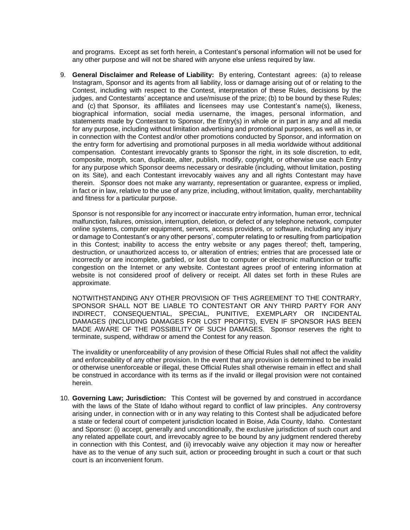and programs. Except as set forth herein, a Contestant's personal information will not be used for any other purpose and will not be shared with anyone else unless required by law.

9. **General Disclaimer and Release of Liability:** By entering, Contestant agrees: (a) to release Instagram, Sponsor and its agents from all liability, loss or damage arising out of or relating to the Contest, including with respect to the Contest, interpretation of these Rules, decisions by the judges, and Contestants' acceptance and use/misuse of the prize; (b) to be bound by these Rules; and (c) that Sponsor, its affiliates and licensees may use Contestant's name(s), likeness, biographical information, social media username, the images, personal information, and statements made by Contestant to Sponsor, the Entry(s) in whole or in part in any and all media for any purpose, including without limitation advertising and promotional purposes, as well as in, or in connection with the Contest and/or other promotions conducted by Sponsor, and information on the entry form for advertising and promotional purposes in all media worldwide without additional compensation. Contestant irrevocably grants to Sponsor the right, in its sole discretion, to edit, composite, morph, scan, duplicate, alter, publish, modify, copyright, or otherwise use each Entry for any purpose which Sponsor deems necessary or desirable (including, without limitation, posting on its Site), and each Contestant irrevocably waives any and all rights Contestant may have therein. Sponsor does not make any warranty, representation or guarantee, express or implied, in fact or in law, relative to the use of any prize, including, without limitation, quality, merchantability and fitness for a particular purpose.

Sponsor is not responsible for any incorrect or inaccurate entry information, human error, technical malfunction, failures, omission, interruption, deletion, or defect of any telephone network, computer online systems, computer equipment, servers, access providers, or software, including any injury or damage to Contestant's or any other persons', computer relating to or resulting from participation in this Contest; inability to access the entry website or any pages thereof; theft, tampering, destruction, or unauthorized access to, or alteration of entries; entries that are processed late or incorrectly or are incomplete, garbled, or lost due to computer or electronic malfunction or traffic congestion on the Internet or any website. Contestant agrees proof of entering information at website is not considered proof of delivery or receipt. All dates set forth in these Rules are approximate.

NOTWITHSTANDING ANY OTHER PROVISION OF THIS AGREEMENT TO THE CONTRARY, SPONSOR SHALL NOT BE LIABLE TO CONTESTANT OR ANY THIRD PARTY FOR ANY INDIRECT, CONSEQUENTIAL, SPECIAL, PUNITIVE, EXEMPLARY OR INCIDENTAL DAMAGES (INCLUDING DAMAGES FOR LOST PROFITS), EVEN IF SPONSOR HAS BEEN MADE AWARE OF THE POSSIBILITY OF SUCH DAMAGES. Sponsor reserves the right to terminate, suspend, withdraw or amend the Contest for any reason.

The invalidity or unenforceability of any provision of these Official Rules shall not affect the validity and enforceability of any other provision. In the event that any provision is determined to be invalid or otherwise unenforceable or illegal, these Official Rules shall otherwise remain in effect and shall be construed in accordance with its terms as if the invalid or illegal provision were not contained herein.

10. **Governing Law; Jurisdiction:** This Contest will be governed by and construed in accordance with the laws of the State of Idaho without regard to conflict of law principles. Any controversy arising under, in connection with or in any way relating to this Contest shall be adjudicated before a state or federal court of competent jurisdiction located in Boise, Ada County, Idaho. Contestant and Sponsor: (i) accept, generally and unconditionally, the exclusive jurisdiction of such court and any related appellate court, and irrevocably agree to be bound by any judgment rendered thereby in connection with this Contest, and (ii) irrevocably waive any objection it may now or hereafter have as to the venue of any such suit, action or proceeding brought in such a court or that such court is an inconvenient forum.